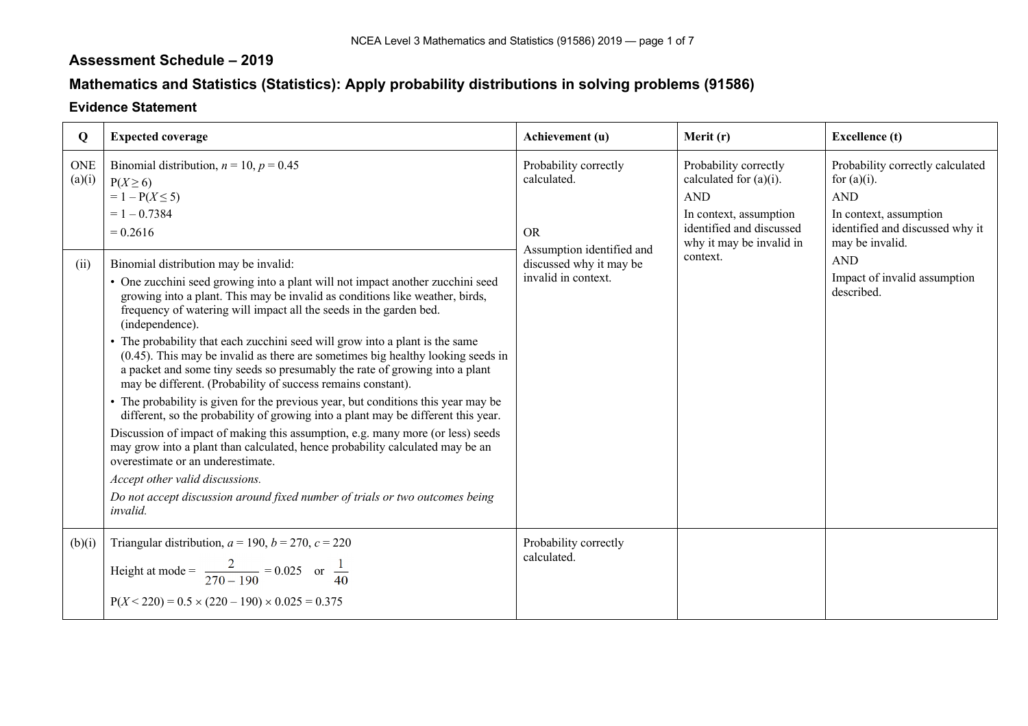## **Assessment Schedule – 2019**

## **Mathematics and Statistics (Statistics): Apply probability distributions in solving problems (91586)**

## **Evidence Statement**

| Q                            | <b>Expected coverage</b>                                                                                                                                                                                                                                                                                                                                                                                                                                                                                                                                                                                                                                                                                                                                                                                                                                                                                                                                                                                                                                                                                                                                                                                                                                      | Achievement (u)                                                                                                                  | Merit (r)                                                                                                                                                      | <b>Excellence</b> (t)                                                                                                                                                                                        |
|------------------------------|---------------------------------------------------------------------------------------------------------------------------------------------------------------------------------------------------------------------------------------------------------------------------------------------------------------------------------------------------------------------------------------------------------------------------------------------------------------------------------------------------------------------------------------------------------------------------------------------------------------------------------------------------------------------------------------------------------------------------------------------------------------------------------------------------------------------------------------------------------------------------------------------------------------------------------------------------------------------------------------------------------------------------------------------------------------------------------------------------------------------------------------------------------------------------------------------------------------------------------------------------------------|----------------------------------------------------------------------------------------------------------------------------------|----------------------------------------------------------------------------------------------------------------------------------------------------------------|--------------------------------------------------------------------------------------------------------------------------------------------------------------------------------------------------------------|
| <b>ONE</b><br>(a)(i)<br>(ii) | Binomial distribution, $n = 10$ , $p = 0.45$<br>$P(X \geq 6)$<br>$= 1 - P(X \le 5)$<br>$= 1 - 0.7384$<br>$= 0.2616$<br>Binomial distribution may be invalid:<br>• One zucchini seed growing into a plant will not impact another zucchini seed<br>growing into a plant. This may be invalid as conditions like weather, birds,<br>frequency of watering will impact all the seeds in the garden bed.<br>(independence).<br>• The probability that each zucchini seed will grow into a plant is the same<br>$(0.45)$ . This may be invalid as there are sometimes big healthy looking seeds in<br>a packet and some tiny seeds so presumably the rate of growing into a plant<br>may be different. (Probability of success remains constant).<br>• The probability is given for the previous year, but conditions this year may be<br>different, so the probability of growing into a plant may be different this year.<br>Discussion of impact of making this assumption, e.g. many more (or less) seeds<br>may grow into a plant than calculated, hence probability calculated may be an<br>overestimate or an underestimate.<br>Accept other valid discussions.<br>Do not accept discussion around fixed number of trials or two outcomes being<br>invalid. | Probability correctly<br>calculated.<br><b>OR</b><br>Assumption identified and<br>discussed why it may be<br>invalid in context. | Probability correctly<br>calculated for $(a)(i)$ .<br><b>AND</b><br>In context, assumption<br>identified and discussed<br>why it may be invalid in<br>context. | Probability correctly calculated<br>for $(a)(i)$ .<br><b>AND</b><br>In context, assumption<br>identified and discussed why it<br>may be invalid.<br><b>AND</b><br>Impact of invalid assumption<br>described. |
| (b)(i)                       | Triangular distribution, $a = 190$ , $b = 270$ , $c = 220$<br>Height at mode = $\frac{2}{270 - 190}$ = 0.025 or $\frac{1}{40}$<br>$P(X < 220) = 0.5 \times (220 - 190) \times 0.025 = 0.375$                                                                                                                                                                                                                                                                                                                                                                                                                                                                                                                                                                                                                                                                                                                                                                                                                                                                                                                                                                                                                                                                  | Probability correctly<br>calculated.                                                                                             |                                                                                                                                                                |                                                                                                                                                                                                              |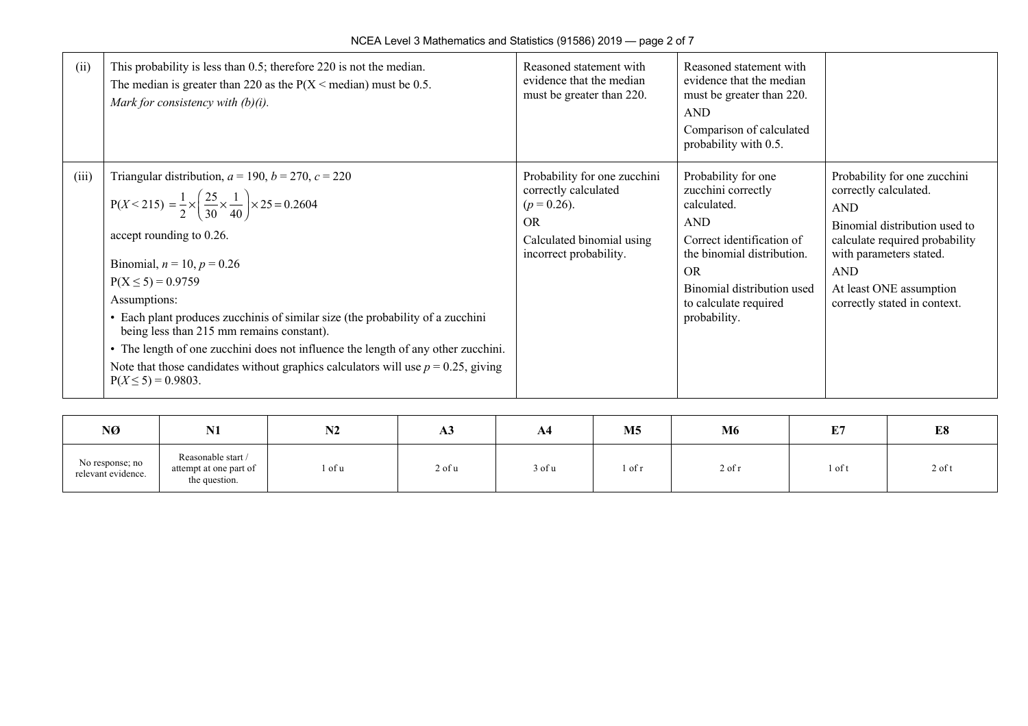| (ii)  | This probability is less than $0.5$ ; therefore 220 is not the median.<br>The median is greater than 220 as the $P(X \leq \text{median})$ must be 0.5.<br>Mark for consistency with $(b)(i)$ .                                                                                                                                                                                                                                                                                                                                                                                                                   | Reasoned statement with<br>evidence that the median<br>must be greater than 220.                                                           | Reasoned statement with<br>evidence that the median<br>must be greater than 220.<br><b>AND</b><br>Comparison of calculated<br>probability with 0.5.                                                             |                                                                                                                                                                                                                                            |
|-------|------------------------------------------------------------------------------------------------------------------------------------------------------------------------------------------------------------------------------------------------------------------------------------------------------------------------------------------------------------------------------------------------------------------------------------------------------------------------------------------------------------------------------------------------------------------------------------------------------------------|--------------------------------------------------------------------------------------------------------------------------------------------|-----------------------------------------------------------------------------------------------------------------------------------------------------------------------------------------------------------------|--------------------------------------------------------------------------------------------------------------------------------------------------------------------------------------------------------------------------------------------|
| (iii) | Triangular distribution, $a = 190$ , $b = 270$ , $c = 220$<br>$P(X < 215) = \frac{1}{2} \times \left(\frac{25}{30} \times \frac{1}{40}\right) \times 25 = 0.2604$<br>accept rounding to 0.26.<br>Binomial, $n = 10$ , $p = 0.26$<br>$P(X \le 5) = 0.9759$<br>Assumptions:<br>• Each plant produces zucchinis of similar size (the probability of a zucchini<br>being less than 215 mm remains constant).<br>• The length of one zucchini does not influence the length of any other zucchini.<br>Note that those candidates without graphics calculators will use $p = 0.25$ , giving<br>$P(X \le 5) = 0.9803$ . | Probability for one zucchini<br>correctly calculated<br>$(p = 0.26)$ .<br><b>OR</b><br>Calculated binomial using<br>incorrect probability. | Probability for one<br>zucchini correctly<br>calculated.<br><b>AND</b><br>Correct identification of<br>the binomial distribution.<br>OR.<br>Binomial distribution used<br>to calculate required<br>probability. | Probability for one zucchini<br>correctly calculated.<br><b>AND</b><br>Binomial distribution used to<br>calculate required probability<br>with parameters stated.<br><b>AND</b><br>At least ONE assumption<br>correctly stated in context. |

| NØ                                    | <b>BT4</b><br>141                                             | <b>BIA</b><br>194 | A <sub>3</sub> | A4     | <b>M5</b> | <b>M6</b> | <b>TO 5</b><br><u>، تە</u> | E8       |
|---------------------------------------|---------------------------------------------------------------|-------------------|----------------|--------|-----------|-----------|----------------------------|----------|
| No response; no<br>relevant evidence. | Reasonable start /<br>attempt at one part of<br>the question. | l of u            | 2 of u         | 3 of u | l of r    | 2 of r    | 1 of t                     | $2$ of t |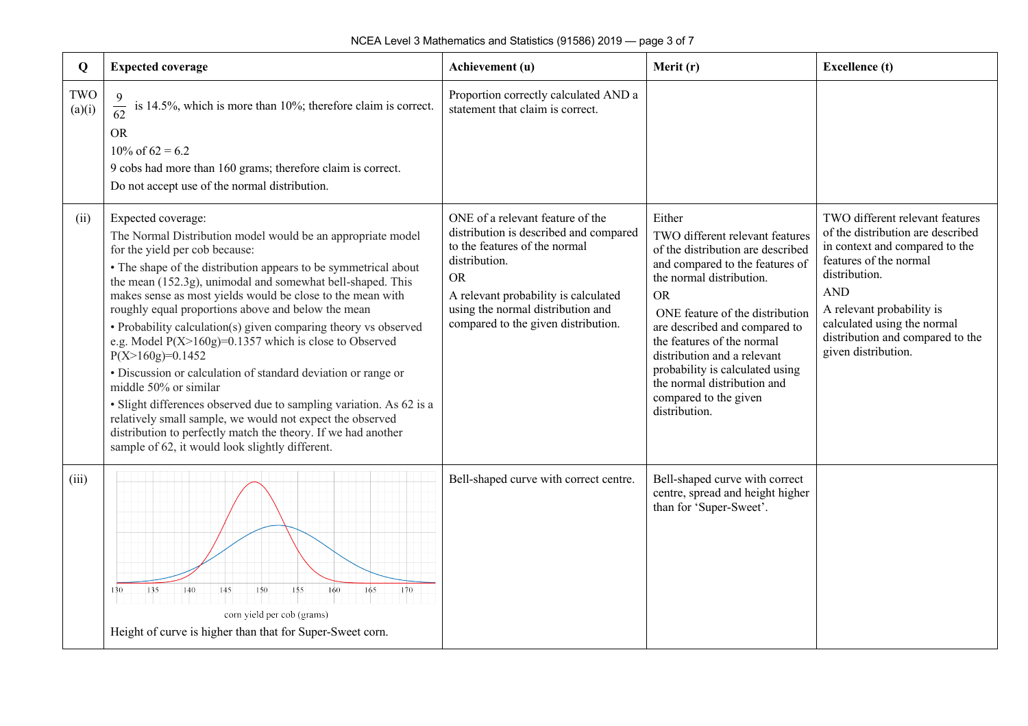| Q             | <b>Expected coverage</b>                                                                                                                                                                                                                                                                                                                                                                                                                                                                                                                                                                                                                                                                                                                                                                                                                                                        | Achievement (u)                                                                                                                                                                                                                                               | Merit (r)                                                                                                                                                                                                                                                                                                                                                                                               | <b>Excellence</b> (t)                                                                                                                                                                                                                                                                  |
|---------------|---------------------------------------------------------------------------------------------------------------------------------------------------------------------------------------------------------------------------------------------------------------------------------------------------------------------------------------------------------------------------------------------------------------------------------------------------------------------------------------------------------------------------------------------------------------------------------------------------------------------------------------------------------------------------------------------------------------------------------------------------------------------------------------------------------------------------------------------------------------------------------|---------------------------------------------------------------------------------------------------------------------------------------------------------------------------------------------------------------------------------------------------------------|---------------------------------------------------------------------------------------------------------------------------------------------------------------------------------------------------------------------------------------------------------------------------------------------------------------------------------------------------------------------------------------------------------|----------------------------------------------------------------------------------------------------------------------------------------------------------------------------------------------------------------------------------------------------------------------------------------|
| TWO<br>(a)(i) | is 14.5%, which is more than $10\%$ ; therefore claim is correct.<br>$rac{6}{62}$<br><b>OR</b><br>$10\% \text{ of } 62 = 6.2$<br>9 cobs had more than 160 grams; therefore claim is correct.<br>Do not accept use of the normal distribution.                                                                                                                                                                                                                                                                                                                                                                                                                                                                                                                                                                                                                                   | Proportion correctly calculated AND a<br>statement that claim is correct.                                                                                                                                                                                     |                                                                                                                                                                                                                                                                                                                                                                                                         |                                                                                                                                                                                                                                                                                        |
| (ii)          | Expected coverage:<br>The Normal Distribution model would be an appropriate model<br>for the yield per cob because:<br>• The shape of the distribution appears to be symmetrical about<br>the mean (152.3g), unimodal and somewhat bell-shaped. This<br>makes sense as most yields would be close to the mean with<br>roughly equal proportions above and below the mean<br>• Probability calculation(s) given comparing theory vs observed<br>e.g. Model $P(X>160g)=0.1357$ which is close to Observed<br>$P(X>160g)=0.1452$<br>· Discussion or calculation of standard deviation or range or<br>middle 50% or similar<br>· Slight differences observed due to sampling variation. As 62 is a<br>relatively small sample, we would not expect the observed<br>distribution to perfectly match the theory. If we had another<br>sample of 62, it would look slightly different. | ONE of a relevant feature of the<br>distribution is described and compared<br>to the features of the normal<br>distribution.<br><b>OR</b><br>A relevant probability is calculated<br>using the normal distribution and<br>compared to the given distribution. | Either<br>TWO different relevant features<br>of the distribution are described<br>and compared to the features of<br>the normal distribution.<br><b>OR</b><br>ONE feature of the distribution<br>are described and compared to<br>the features of the normal<br>distribution and a relevant<br>probability is calculated using<br>the normal distribution and<br>compared to the given<br>distribution. | TWO different relevant features<br>of the distribution are described<br>in context and compared to the<br>features of the normal<br>distribution.<br><b>AND</b><br>A relevant probability is<br>calculated using the normal<br>distribution and compared to the<br>given distribution. |
| (iii)         | 135<br>150<br>155<br>160<br>165<br>170<br>140<br>145<br>130<br>corn yield per cob (grams)<br>Height of curve is higher than that for Super-Sweet corn.                                                                                                                                                                                                                                                                                                                                                                                                                                                                                                                                                                                                                                                                                                                          | Bell-shaped curve with correct centre.                                                                                                                                                                                                                        | Bell-shaped curve with correct<br>centre, spread and height higher<br>than for 'Super-Sweet'.                                                                                                                                                                                                                                                                                                           |                                                                                                                                                                                                                                                                                        |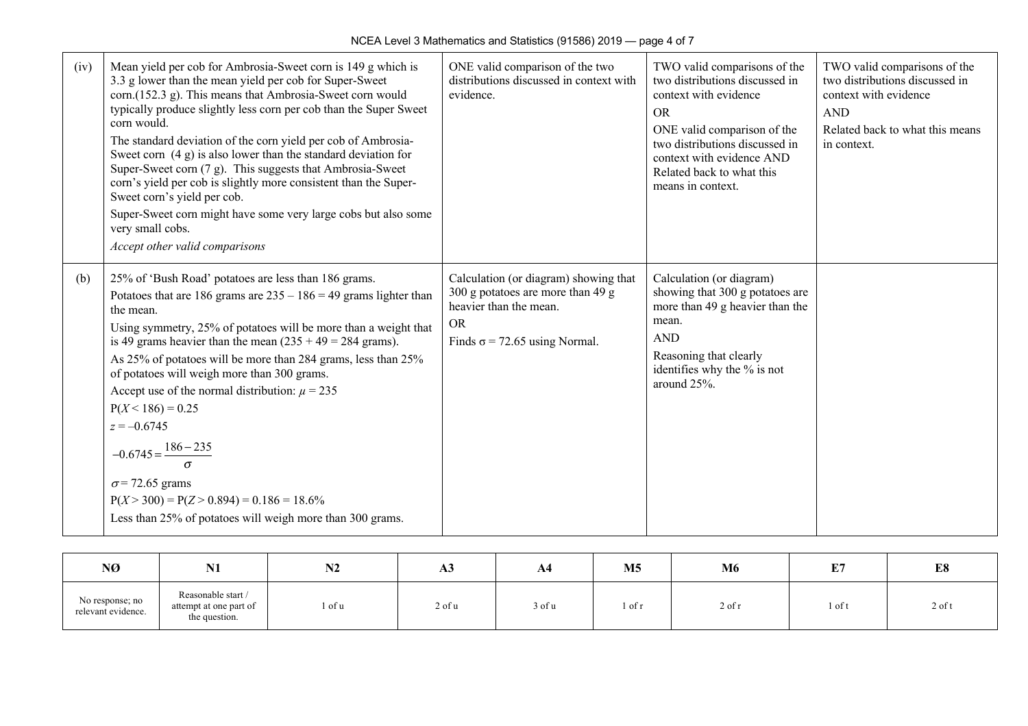$\overline{\phantom{a}}$ 

| (iv) | Mean yield per cob for Ambrosia-Sweet corn is 149 g which is<br>3.3 g lower than the mean yield per cob for Super-Sweet<br>corn.(152.3 g). This means that Ambrosia-Sweet corn would<br>typically produce slightly less corn per cob than the Super Sweet<br>corn would.<br>The standard deviation of the corn yield per cob of Ambrosia-<br>Sweet corn $(4 g)$ is also lower than the standard deviation for<br>Super-Sweet corn (7 g). This suggests that Ambrosia-Sweet<br>corn's yield per cob is slightly more consistent than the Super-<br>Sweet corn's yield per cob.<br>Super-Sweet corn might have some very large cobs but also some<br>very small cobs.<br>Accept other valid comparisons | ONE valid comparison of the two<br>distributions discussed in context with<br>evidence.                                                                   | TWO valid comparisons of the<br>two distributions discussed in<br>context with evidence<br><b>OR</b><br>ONE valid comparison of the<br>two distributions discussed in<br>context with evidence AND<br>Related back to what this<br>means in context. | TWO valid comparisons of the<br>two distributions discussed in<br>context with evidence<br><b>AND</b><br>Related back to what this means<br>in context. |
|------|-------------------------------------------------------------------------------------------------------------------------------------------------------------------------------------------------------------------------------------------------------------------------------------------------------------------------------------------------------------------------------------------------------------------------------------------------------------------------------------------------------------------------------------------------------------------------------------------------------------------------------------------------------------------------------------------------------|-----------------------------------------------------------------------------------------------------------------------------------------------------------|------------------------------------------------------------------------------------------------------------------------------------------------------------------------------------------------------------------------------------------------------|---------------------------------------------------------------------------------------------------------------------------------------------------------|
| (b)  | 25% of 'Bush Road' potatoes are less than 186 grams.<br>Potatoes that are 186 grams are $235 - 186 = 49$ grams lighter than<br>the mean.<br>Using symmetry, 25% of potatoes will be more than a weight that<br>is 49 grams heavier than the mean $(235 + 49) = 284$ grams).<br>As 25% of potatoes will be more than 284 grams, less than 25%<br>of potatoes will weigh more than 300 grams.<br>Accept use of the normal distribution: $\mu = 235$<br>$P(X < 186) = 0.25$<br>$z = -0.6745$<br>$-0.6745 = \frac{186 - 235}{\sigma}$<br>$\sigma$ = 72.65 grams<br>$P(X > 300) = P(Z > 0.894) = 0.186 = 18.6\%$<br>Less than 25% of potatoes will weigh more than 300 grams.                              | Calculation (or diagram) showing that<br>300 g potatoes are more than 49 g<br>heavier than the mean.<br><b>OR</b><br>Finds $\sigma$ = 72.65 using Normal. | Calculation (or diagram)<br>showing that 300 g potatoes are<br>more than 49 g heavier than the<br>mean.<br><b>AND</b><br>Reasoning that clearly<br>identifies why the % is not<br>around 25%.                                                        |                                                                                                                                                         |

| NØ                                    | <b>BIT4</b><br>. V 1                                          | N2     | A3     | A4     | M <sub>5</sub> | M6       | <b>DO</b><br>. | E8       |
|---------------------------------------|---------------------------------------------------------------|--------|--------|--------|----------------|----------|----------------|----------|
| No response; no<br>relevant evidence. | Reasonable start /<br>attempt at one part of<br>the question. | . of u | 2 of u | 3 of u | i of r         | $2$ of r | l of t         | $2$ of t |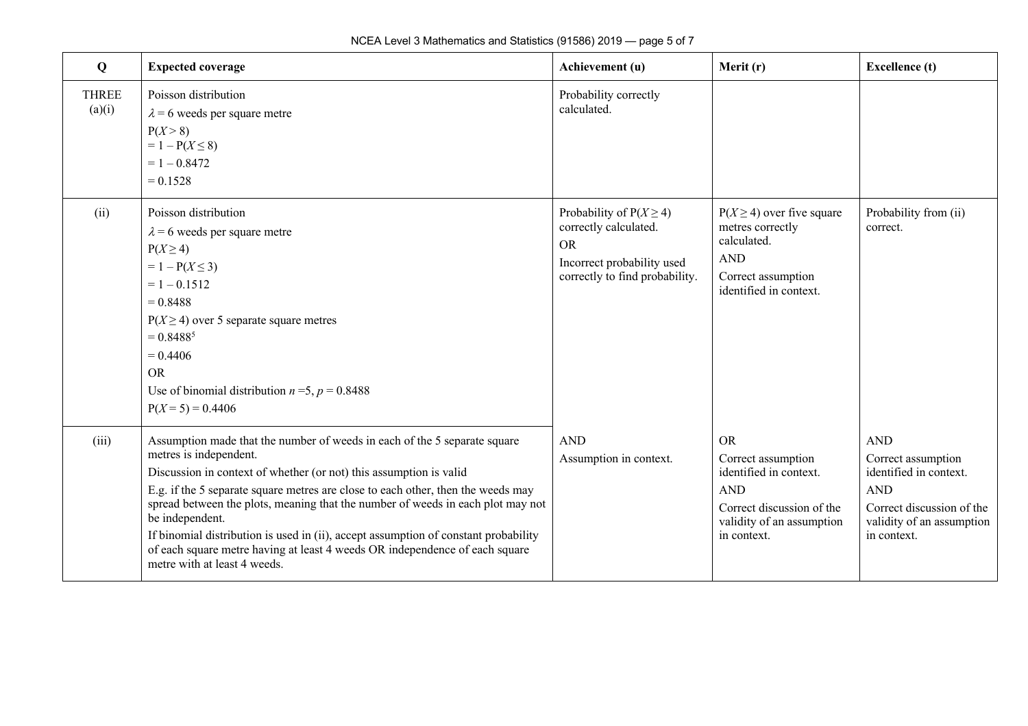| Q                      | <b>Expected coverage</b>                                                                                                                                                                                                                                                                                                                                                                                                                                                                                                                                                  | Achievement (u)                                                                                                                   | Merit (r)                                                                                                                                        | <b>Excellence</b> (t)                                                                                                                             |
|------------------------|---------------------------------------------------------------------------------------------------------------------------------------------------------------------------------------------------------------------------------------------------------------------------------------------------------------------------------------------------------------------------------------------------------------------------------------------------------------------------------------------------------------------------------------------------------------------------|-----------------------------------------------------------------------------------------------------------------------------------|--------------------------------------------------------------------------------------------------------------------------------------------------|---------------------------------------------------------------------------------------------------------------------------------------------------|
| <b>THREE</b><br>(a)(i) | Poisson distribution<br>$\lambda$ = 6 weeds per square metre<br>P(X > 8)<br>$= 1 - P(X \le 8)$<br>$= 1 - 0.8472$<br>$= 0.1528$                                                                                                                                                                                                                                                                                                                                                                                                                                            | Probability correctly<br>calculated.                                                                                              |                                                                                                                                                  |                                                                                                                                                   |
| (ii)                   | Poisson distribution<br>$\lambda$ = 6 weeds per square metre<br>$P(X \geq 4)$<br>$= 1 - P(X \le 3)$<br>$= 1 - 0.1512$<br>$= 0.8488$<br>$P(X \ge 4)$ over 5 separate square metres<br>$= 0.8488^{5}$<br>$= 0.4406$<br><b>OR</b><br>Use of binomial distribution $n = 5$ , $p = 0.8488$<br>$P(X = 5) = 0.4406$                                                                                                                                                                                                                                                              | Probability of $P(X \ge 4)$<br>correctly calculated.<br><b>OR</b><br>Incorrect probability used<br>correctly to find probability. | $P(X \ge 4)$ over five square<br>metres correctly<br>calculated.<br><b>AND</b><br>Correct assumption<br>identified in context.                   | Probability from (ii)<br>correct.                                                                                                                 |
| (iii)                  | Assumption made that the number of weeds in each of the 5 separate square<br>metres is independent.<br>Discussion in context of whether (or not) this assumption is valid<br>E.g. if the 5 separate square metres are close to each other, then the weeds may<br>spread between the plots, meaning that the number of weeds in each plot may not<br>be independent.<br>If binomial distribution is used in (ii), accept assumption of constant probability<br>of each square metre having at least 4 weeds OR independence of each square<br>metre with at least 4 weeds. | <b>AND</b><br>Assumption in context.                                                                                              | <b>OR</b><br>Correct assumption<br>identified in context.<br><b>AND</b><br>Correct discussion of the<br>validity of an assumption<br>in context. | <b>AND</b><br>Correct assumption<br>identified in context.<br><b>AND</b><br>Correct discussion of the<br>validity of an assumption<br>in context. |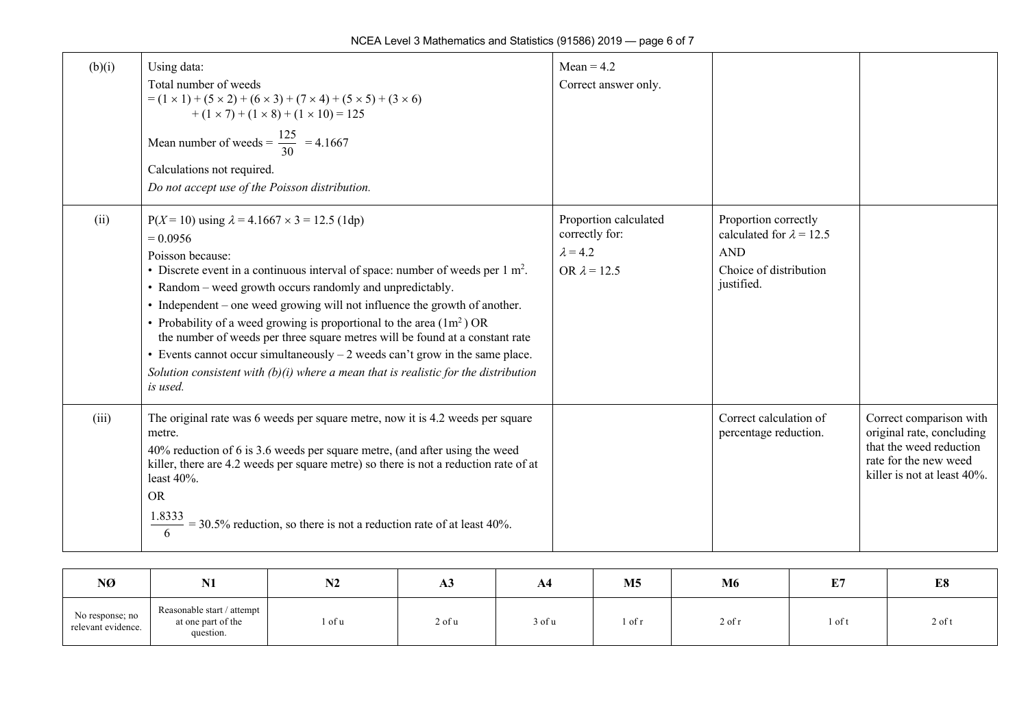| (b)(i) | Using data:<br>Total number of weeds<br>$= (1 \times 1) + (5 \times 2) + (6 \times 3) + (7 \times 4) + (5 \times 5) + (3 \times 6)$<br>$+(1 \times 7) + (1 \times 8) + (1 \times 10) = 125$<br>Mean number of weeds = $\frac{125}{30}$ = 4.1667<br>Calculations not required.<br>Do not accept use of the Poisson distribution.                                                                                                                                                                                                                                                                                                                                                       | $Mean = 4.2$<br>Correct answer only.                                              |                                                                                                               |                                                                                                                                         |
|--------|---------------------------------------------------------------------------------------------------------------------------------------------------------------------------------------------------------------------------------------------------------------------------------------------------------------------------------------------------------------------------------------------------------------------------------------------------------------------------------------------------------------------------------------------------------------------------------------------------------------------------------------------------------------------------------------|-----------------------------------------------------------------------------------|---------------------------------------------------------------------------------------------------------------|-----------------------------------------------------------------------------------------------------------------------------------------|
| (ii)   | $P(X = 10)$ using $\lambda = 4.1667 \times 3 = 12.5$ (1dp)<br>$= 0.0956$<br>Poisson because:<br>• Discrete event in a continuous interval of space: number of weeds per $1 \text{ m}^2$ .<br>• Random – weed growth occurs randomly and unpredictably.<br>• Independent – one weed growing will not influence the growth of another.<br>• Probability of a weed growing is proportional to the area $(1m^2)$ OR<br>the number of weeds per three square metres will be found at a constant rate<br>• Events cannot occur simultaneously $-2$ weeds can't grow in the same place.<br>Solution consistent with $(b)(i)$ where a mean that is realistic for the distribution<br>is used. | Proportion calculated<br>correctly for:<br>$\lambda = 4.2$<br>OR $\lambda$ = 12.5 | Proportion correctly<br>calculated for $\lambda = 12.5$<br><b>AND</b><br>Choice of distribution<br>justified. |                                                                                                                                         |
| (iii)  | The original rate was 6 weeds per square metre, now it is 4.2 weeds per square<br>metre.<br>40% reduction of 6 is 3.6 weeds per square metre, (and after using the weed<br>killer, there are 4.2 weeds per square metre) so there is not a reduction rate of at<br>least 40%.<br><b>OR</b><br>$\frac{1.8333}{6}$ = 30.5% reduction, so there is not a reduction rate of at least 40%.                                                                                                                                                                                                                                                                                                 |                                                                                   | Correct calculation of<br>percentage reduction.                                                               | Correct comparison with<br>original rate, concluding<br>that the weed reduction<br>rate for the new weed<br>killer is not at least 40%. |

| NØ                                    | <b>MT1</b><br>IV L                                            | <b>BIA</b><br>IVZ | A3         | A4     | M <sub>5</sub> | M6     | <b>DA</b><br><u>ا تا</u> | E8       |
|---------------------------------------|---------------------------------------------------------------|-------------------|------------|--------|----------------|--------|--------------------------|----------|
| No response; no<br>relevant evidence. | Reasonable start / attempt<br>at one part of the<br>question. | 1 of u            | $2$ of $u$ | 3 of u | 1 of r         | 2 of r | 1 of t                   | $2$ of t |